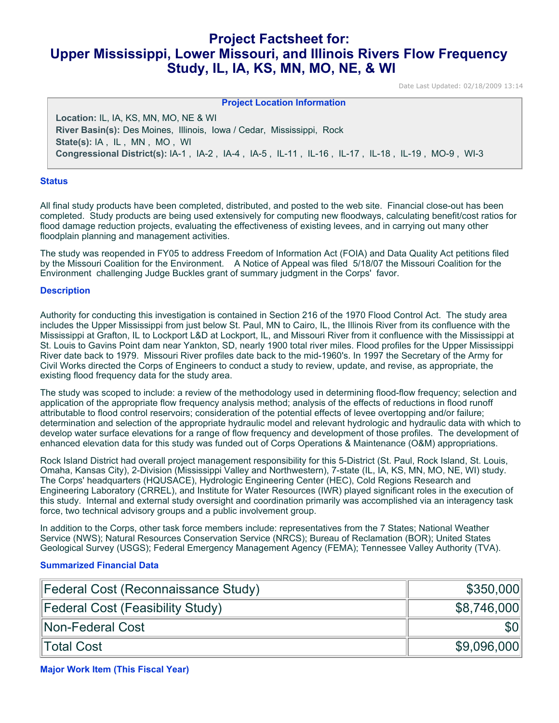# **Project Factsheet for: Upper Mississippi, Lower Missouri, and Illinois Rivers Flow Frequency Study, IL, IA, KS, MN, MO, NE, & WI**

Date Last Updated: 02/18/2009 13:14

| <b>Project Location Information</b>                                                              |
|--------------------------------------------------------------------------------------------------|
| <b>Location: IL, IA, KS, MN, MO, NE &amp; WI</b>                                                 |
| River Basin(s): Des Moines, Illinois, Iowa / Cedar, Mississippi, Rock                            |
| State(s): IA, IL, MN, MO, WI                                                                     |
| Congressional District(s): IA-1, IA-2, IA-4, IA-5, IL-11, IL-16, IL-17, IL-18, IL-19, MO-9, WI-3 |

#### **Status**

All final study products have been completed, distributed, and posted to the web site. Financial close-out has been completed. Study products are being used extensively for computing new floodways, calculating benefit/cost ratios for flood damage reduction projects, evaluating the effectiveness of existing levees, and in carrying out many other floodplain planning and management activities.

The study was reopended in FY05 to address Freedom of Information Act (FOIA) and Data Quality Act petitions filed by the Missouri Coalition for the Environment. A Notice of Appeal was filed 5/18/07 the Missouri Coalition for the Environment challenging Judge Buckles grant of summary judgment in the Corps' favor.

#### **Description**

Authority for conducting this investigation is contained in Section 216 of the 1970 Flood Control Act. The study area includes the Upper Mississippi from just below St. Paul, MN to Cairo, IL, the Illinois River from its confluence with the Mississippi at Grafton, IL to Lockport L&D at Lockport, IL, and Missouri River from it confluence with the Mississippi at St. Louis to Gavins Point dam near Yankton, SD, nearly 1900 total river miles. Flood profiles for the Upper Mississippi River date back to 1979. Missouri River profiles date back to the mid-1960's. In 1997 the Secretary of the Army for Civil Works directed the Corps of Engineers to conduct a study to review, update, and revise, as appropriate, the existing flood frequency data for the study area.

The study was scoped to include: a review of the methodology used in determining flood-flow frequency; selection and application of the appropriate flow frequency analysis method; analysis of the effects of reductions in flood runoff attributable to flood control reservoirs; consideration of the potential effects of levee overtopping and/or failure; determination and selection of the appropriate hydraulic model and relevant hydrologic and hydraulic data with which to develop water surface elevations for a range of flow frequency and development of those profiles. The development of enhanced elevation data for this study was funded out of Corps Operations & Maintenance (O&M) appropriations.

Rock Island District had overall project management responsibility for this 5-District (St. Paul, Rock Island, St. Louis, Omaha, Kansas City), 2-Division (Mississippi Valley and Northwestern), 7-state (IL, IA, KS, MN, MO, NE, WI) study. The Corps' headquarters (HQUSACE), Hydrologic Engineering Center (HEC), Cold Regions Research and Engineering Laboratory (CRREL), and Institute for Water Resources (IWR) played significant roles in the execution of this study. Internal and external study oversight and coordination primarily was accomplished via an interagency task force, two technical advisory groups and a public involvement group.

In addition to the Corps, other task force members include: representatives from the 7 States; National Weather Service (NWS); Natural Resources Conservation Service (NRCS); Bureau of Reclamation (BOR); United States Geological Survey (USGS); Federal Emergency Management Agency (FEMA); Tennessee Valley Authority (TVA).

## **Summarized Financial Data**

| Federal Cost (Reconnaissance Study) | \$350,000        |
|-------------------------------------|------------------|
| Federal Cost (Feasibility Study)    | \$8,746,000      |
| Non-Federal Cost                    | \$0 <sub>1</sub> |
| ∥Total Cost                         | \$9,096,000      |

**Major Work Item (This Fiscal Year)**